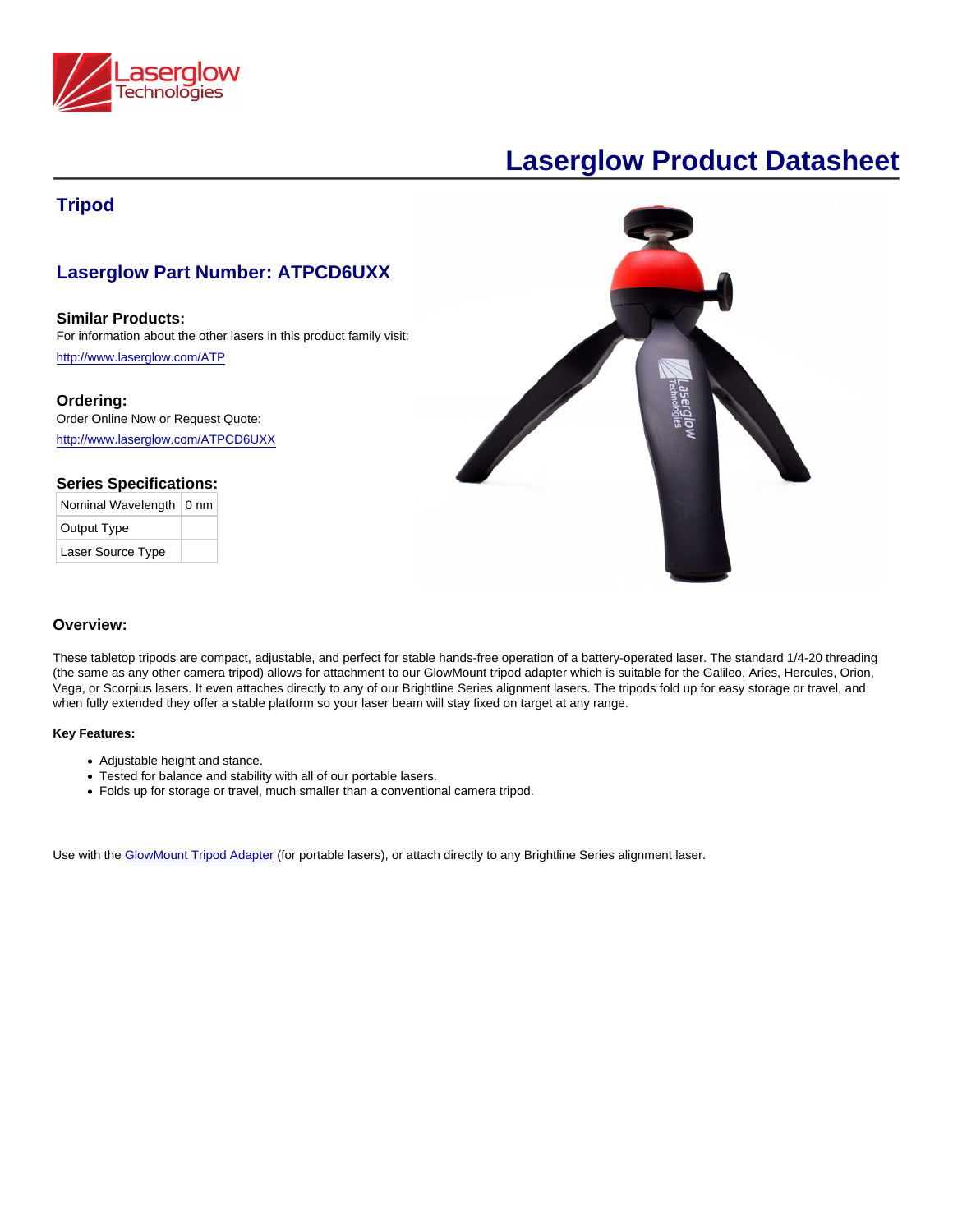## **Tripod**

# Laserglow Part Number: ATPCD6UXX

Similar Products: For information about the other lasers in this product family visit: <http://www.laserglow.com/ATP>

Ordering: Order Online Now or Request Quote: [http://www.laserglow.com/ATPCD6UXX](http://www.laserglow.com/cart.htm?sku=ATPCD6UXX)

### Series Specifications:

| Nominal Wavelength   0 nm |  |
|---------------------------|--|
| Output Type               |  |
| Laser Source Type         |  |

#### Overview:

These tabletop tripods are compact, adjustable, and perfect for stable hands-free operation of a battery-operated laser. The standard 1/4-20 threading (the same as any other camera tripod) allows for attachment to our GlowMount tripod adapter which is suitable for the Galileo, Aries, Hercules, Orion, Vega, or Scorpius lasers. It even attaches directly to any of our Brightline Series alignment lasers. The tripods fold up for easy storage or travel, and when fully extended they offer a stable platform so your laser beam will stay fixed on target at any range.

#### Key Features:

- Adjustable height and stance.
- Tested for balance and stability with all of our portable lasers.
- Folds up for storage or travel, much smaller than a conventional camera tripod.

Use with the [GlowMount Tripod Adapter](http://www.laserglow.com/AGM) (for portable lasers), or attach directly to any Brightline Series alignment laser.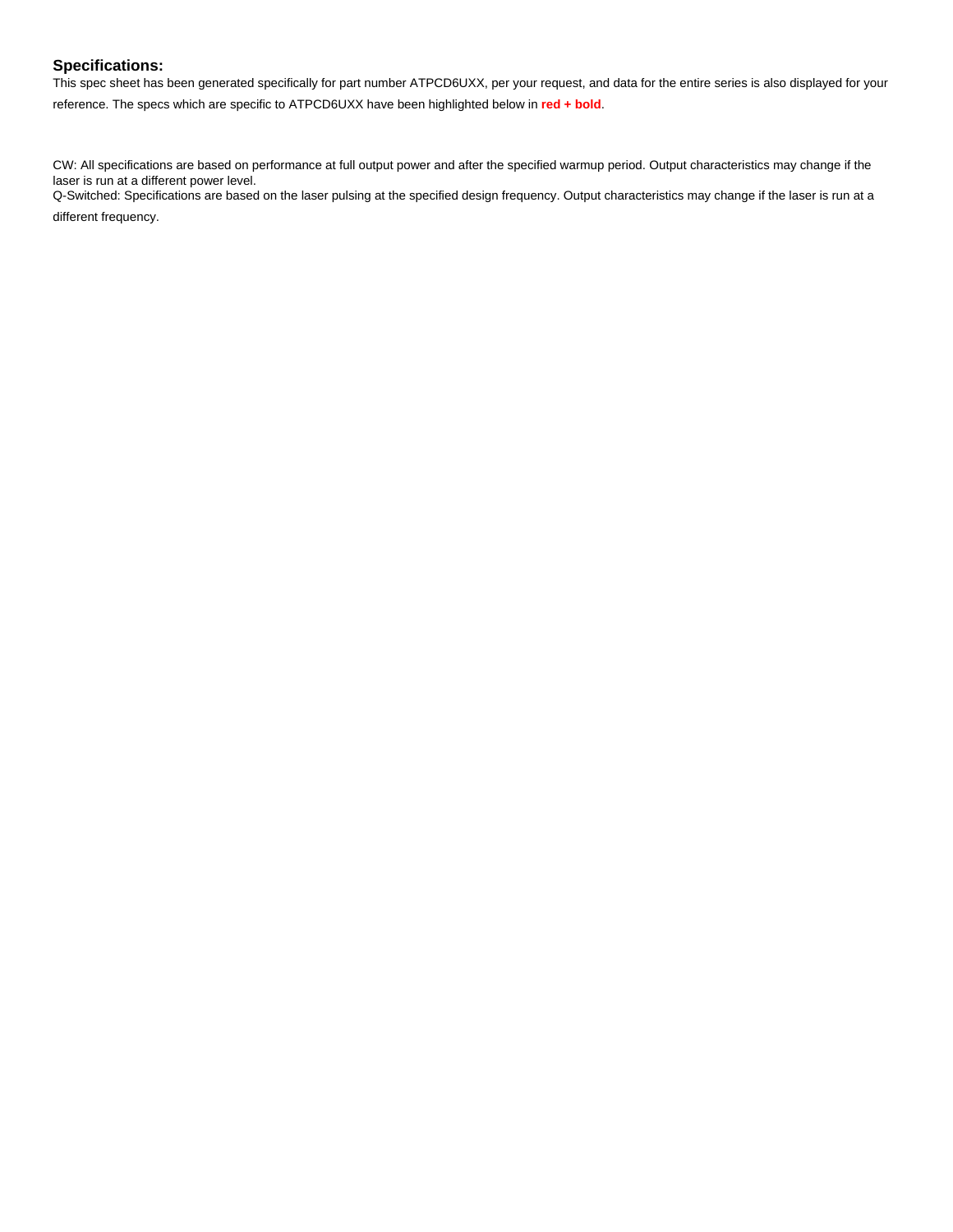### **Specifications:**

This spec sheet has been generated specifically for part number ATPCD6UXX, per your request, and data for the entire series is also displayed for your reference. The specs which are specific to ATPCD6UXX have been highlighted below in **red + bold**.

CW: All specifications are based on performance at full output power and after the specified warmup period. Output characteristics may change if the laser is run at a different power level.

Q-Switched: Specifications are based on the laser pulsing at the specified design frequency. Output characteristics may change if the laser is run at a

different frequency.